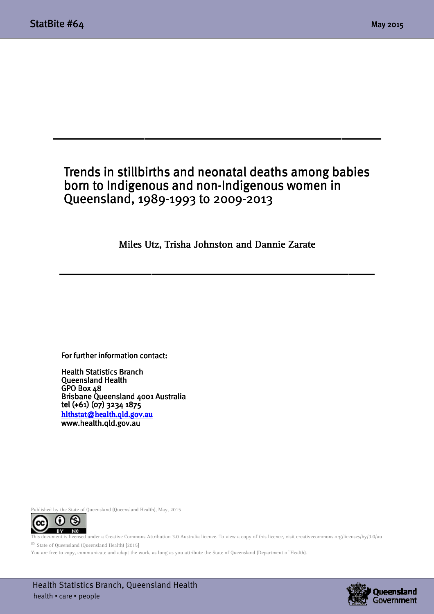# Trends in stillbirths and neonatal deaths among babies born to Indigenous and non-Indigenous women in Queensland, 1989-1993 to 2009-2013

 $\frac{1}{2}$  ,  $\frac{1}{2}$  ,  $\frac{1}{2}$  ,  $\frac{1}{2}$  ,  $\frac{1}{2}$  ,  $\frac{1}{2}$  ,  $\frac{1}{2}$  ,  $\frac{1}{2}$  ,  $\frac{1}{2}$  ,  $\frac{1}{2}$  ,  $\frac{1}{2}$  ,  $\frac{1}{2}$  ,  $\frac{1}{2}$  ,  $\frac{1}{2}$  ,  $\frac{1}{2}$  ,  $\frac{1}{2}$  ,  $\frac{1}{2}$  ,  $\frac{1}{2}$  ,  $\frac{1$ 

Miles Utz, Trisha Johnston and Dannie Zarate

 $\frac{1}{2}$  ,  $\frac{1}{2}$  ,  $\frac{1}{2}$  ,  $\frac{1}{2}$  ,  $\frac{1}{2}$  ,  $\frac{1}{2}$  ,  $\frac{1}{2}$  ,  $\frac{1}{2}$  ,  $\frac{1}{2}$  ,  $\frac{1}{2}$  ,  $\frac{1}{2}$  ,  $\frac{1}{2}$  ,  $\frac{1}{2}$  ,  $\frac{1}{2}$  ,  $\frac{1}{2}$  ,  $\frac{1}{2}$  ,  $\frac{1}{2}$  ,  $\frac{1}{2}$  ,  $\frac{1$ 

#### For further information contact:

Health Statistics Branch Queensland Health Queensland Health GPO Box 48 Brisbane Queensland 4001 Australia tel (+61) (07) 3234 1875 hlthstat@health.qld.gov.au www.health.qld.gov.au

Published by the State of Queensland (Queensland Health), May, 2015



This document is licensed under a Creative Commons Attribution 3.0 Australia licence. To view a copy of this licence, visit creativecommons.org/licenses/by/3.0/au © State of Queensland (Queensland Health) [2015]

You are free to copy, communicate and adapt the work, as long as you attribute the State of Queensland (Department of Health).

 Health Statistics Branch, Queensland Health health • care • people

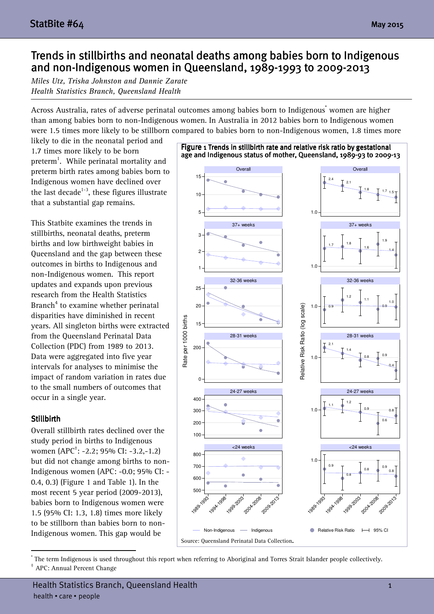## Trends in stillbirths and neonatal deaths among babies born to Indigenous and non-Indigenous women in Queensland, 1989-1993 to 2009-2013

Miles Utz, Trisha Johnston and Dannie Zarate Health Statistics Branch, Queensland Health

Across Australia, rates of adverse perinatal outcomes among babies born to Indigenous<sup>\*</sup> women are higher than among babies born to non-Indigenous women. In Australia in 2012 babies born to Indigenous women were 1.5 times more likely to be stillborn compared to babies born to non-Indigenous women, 1.8 times more

likely to die in the neonatal period and 1.7 times more likely to be born preterm<sup>1</sup>. While perinatal mortality and preterm birth rates among babies born to Indigenous women have declined over the last decade<sup>1-3</sup>, these figures illustrate that a substantial gap remains.

This Statbite examines the trends in stillbirths, neonatal deaths, preterm births and low birthweight babies in Queensland and the gap between these outcomes in births to Indigenous and non-Indigenous women. This report updates and expands upon previous research from the Health Statistics Branch<sup>4</sup> to examine whether perinatal disparities have diminished in recent years. All singleton births were extracted from the Queensland Perinatal Data Collection (PDC) from 1989 to 2013. Data were aggregated into five year intervals for analyses to minimise the impact of random variation in rates due to the small numbers of outcomes that occur in a single year.

#### Stillbirth

Overall stillbirth rates declined over the study period in births to Indigenous women (APC† : -2.2; 95% CI: -3.2,-1.2) but did not change among births to non-Indigenous women (APC: -0.0; 95% CI: - 0.4, 0.3) (Figure 1 and Table 1). In the most recent 5 year period (2009-2013), babies born to Indigenous women were 1.5 (95% CI: 1.3, 1.8) times more likely to be stillborn than babies born to non-Indigenous women. This gap would be



\* The term Indigenous is used throughout this report when referring to Aboriginal and Torres Strait Islander people collectively.

<sup>†</sup> APC: Annual Percent Change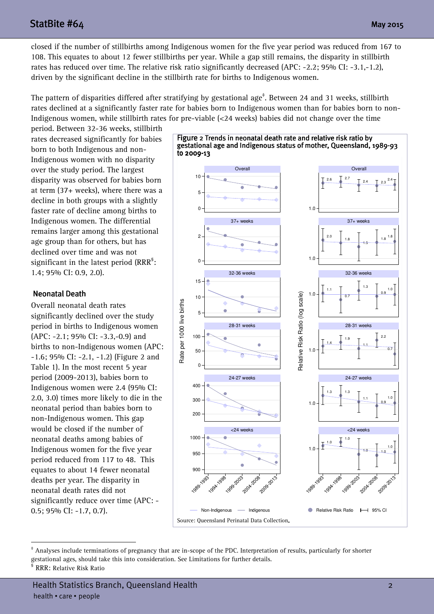## $StatBite #64$  May 2015

closed if the number of stillbirths among Indigenous women for the five year period was reduced from 167 to 108. This equates to about 12 fewer stillbirths per year. While a gap still remains, the disparity in stillbirth rates has reduced over time. The relative risk ratio significantly decreased (APC: -2.2; 95% CI: -3.1,-1.2), driven by the significant decline in the stillbirth rate for births to Indigenous women.

The pattern of disparities differed after stratifying by gestational age $^{\ddagger}$ . Between 24 and 31 weeks, stillbirth rates declined at a significantly faster rate for babies born to Indigenous women than for babies born to non-Indigenous women, while stillbirth rates for pre-viable (<24 weeks) babies did not change over the time

period. Between 32-36 weeks, stillbirth rates decreased significantly for babies born to both Indigenous and non-Indigenous women with no disparity over the study period. The largest disparity was observed for babies born at term (37+ weeks), where there was a decline in both groups with a slightly faster rate of decline among births to Indigenous women. The differential remains larger among this gestational age group than for others, but has declined over time and was not significant in the latest period (RRR ${}^{\rm s}$ : 1.4; 95% CI: 0.9, 2.0).

### **Neonatal Death**

Overall neonatal death rates significantly declined over the study period in births to Indigenous women (APC: -2.1; 95% CI: -3.3,-0.9) and births to non-Indigenous women (APC: -1.6; 95% CI: -2.1, -1.2) (Figure 2 and Table 1). In the most recent 5 year period (2009-2013), babies born to Indigenous women were 2.4 (95% CI: 2.0, 3.0) times more likely to die in the neonatal period than babies born to non-Indigenous women. This gap would be closed if the number of neonatal deaths among babies of Indigenous women for the five year period reduced from 117 to 48. This equates to about 14 fewer neonatal deaths per year. The disparity in neonatal death rates did not significantly reduce over time (APC: - 0.5; 95% CI: -1.7, 0.7).



Figure 2 Trends in neonatal death rate and relative risk ratio by

1

<sup>‡</sup> Analyses include terminations of pregnancy that are in-scope of the PDC. Interpretation of results, particularly for shorter gestational ages, should take this into consideration. See Limitations for further details.

<sup>§</sup> RRR: Relative Risk Ratio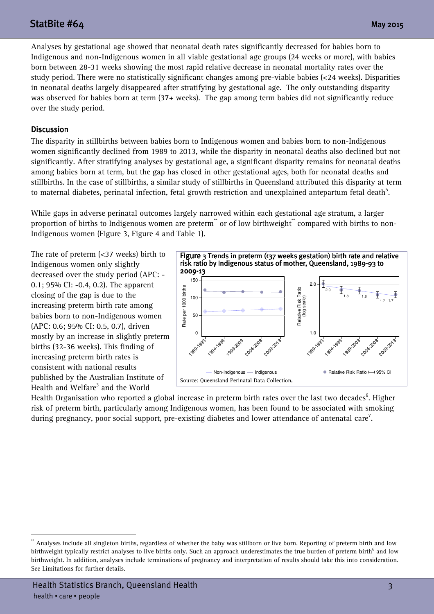## $StatBite #64$  May 2015

Analyses by gestational age showed that neonatal death rates significantly decreased for babies born to Indigenous and non-Indigenous women in all viable gestational age groups (24 weeks or more), with babies born between 28-31 weeks showing the most rapid relative decrease in neonatal mortality rates over the study period. There were no statistically significant changes among pre-viable babies (<24 weeks). Disparities in neonatal deaths largely disappeared after stratifying by gestational age. The only outstanding disparity was observed for babies born at term (37+ weeks). The gap among term babies did not significantly reduce over the study period.

#### **Discussion**

The disparity in stillbirths between babies born to Indigenous women and babies born to non-Indigenous women significantly declined from 1989 to 2013, while the disparity in neonatal deaths also declined but not significantly. After stratifying analyses by gestational age, a significant disparity remains for neonatal deaths among babies born at term, but the gap has closed in other gestational ages, both for neonatal deaths and stillbirths. In the case of stillbirths, a similar study of stillbirths in Queensland attributed this disparity at term to maternal diabetes, perinatal infection, fetal growth restriction and unexplained antepartum fetal death $^5$ .

While gaps in adverse perinatal outcomes largely narrowed within each gestational age stratum, a larger proportion of births to Indigenous women are preterm\*\* or of low birthweight\*\* compared with births to non-Indigenous women (Figure 3, Figure 4 and Table 1).

The rate of preterm (<37 weeks) birth to Indigenous women only slightly decreased over the study period (APC: - 0.1; 95% CI: -0.4, 0.2). The apparent closing of the gap is due to the increasing preterm birth rate among babies born to non-Indigenous women (APC: 0.6; 95% CI: 0.5, 0.7), driven mostly by an increase in slightly preterm births (32-36 weeks). This finding of increasing preterm birth rates is consistent with national results published by the Australian Institute of Health and Welfare $^3$  and the World



Health Organisation who reported a global increase in preterm birth rates over the last two decades<sup>6</sup>. Higher risk of preterm birth, particularly among Indigenous women, has been found to be associated with smoking during pregnancy, poor social support, pre-existing diabetes and lower attendance of antenatal care<sup>7</sup>.

Analyses include all singleton births, regardless of whether the baby was stillborn or live born. Reporting of preterm birth and low birthweight typically restrict analyses to live births only. Such an approach underestimates the true burden of preterm birth $^6$  and low birthweight. In addition, analyses include terminations of pregnancy and interpretation of results should take this into consideration. See Limitations for further details.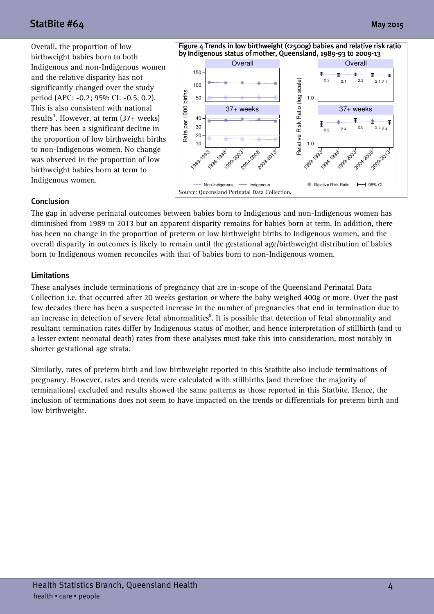# $StatBite #64$  May 2015

Overall, the proportion of low birthweight babies born to both Indigenous and non-Indigenous women and the relative disparity has not significantly changed over the study period (APC: -0.2; 95% CI: -0.5, 0.2). This is also consistent with national results<sup>3</sup>. However, at term (37+ weeks) there has been a significant decline in the proportion of low birthweight births to non-Indigenous women. No change was observed in the proportion of low birthweight babies born at term to Indigenous women.



#### Conclusion Conclusion

The gap in adverse perinatal outcomes between babies born to Indigenous and non-Indigenous women has diminished from 1989 to 2013 but an apparent disparity remains for babies born at term. In addition, there has been no change in the proportion of preterm or low birthweight births to Indigenous women, and the overall disparity in outcomes is likely to remain until the gestational age/birthweight distribution of babies born to Indigenous women reconciles with that of babies born to non-Indigenous women.

#### Limitations Limitations

These analyses include terminations of pregnancy that are in-scope of the Queensland Perinatal Data Collection i.e. that occurred after 20 weeks gestation or where the baby weighed 400g or more. Over the past few decades there has been a suspected increase in the number of pregnancies that end in termination due to an increase in detection of severe fetal abnormalities<sup>8</sup>. It is possible that detection of fetal abnormality and resultant termination rates differ by Indigenous status of mother, and hence interpretation of stillbirth (and to a lesser extent neonatal death) rates from these analyses must take this into consideration, most notably in shorter gestational age strata.

Similarly, rates of preterm birth and low birthweight reported in this Statbite also include terminations of pregnancy. However, rates and trends were calculated with stillbirths (and therefore the majority of terminations) excluded and results showed the same patterns as those reported in this Statbite. Hence, the inclusion of terminations does not seem to have impacted on the trends or differentials for preterm birth and low birthweight.